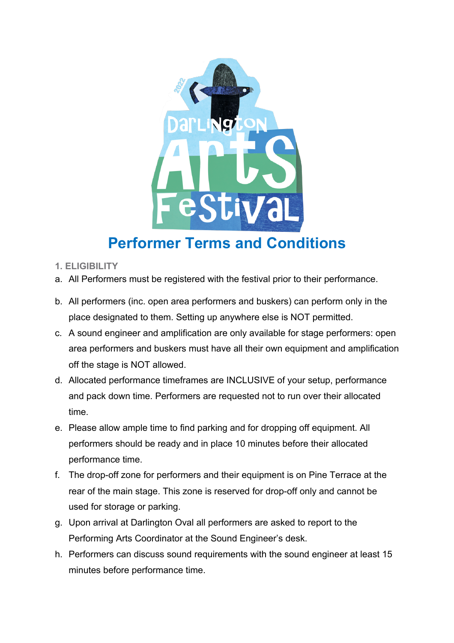

## **Performer Terms and Conditions**

- **1. ELIGIBILITY**
- a. All Performers must be registered with the festival prior to their performance.
- b. All performers (inc. open area performers and buskers) can perform only in the place designated to them. Setting up anywhere else is NOT permitted.
- c. A sound engineer and amplification are only available for stage performers: open area performers and buskers must have all their own equipment and amplification off the stage is NOT allowed.
- d. Allocated performance timeframes are INCLUSIVE of your setup, performance and pack down time. Performers are requested not to run over their allocated time.
- e. Please allow ample time to find parking and for dropping off equipment. All performers should be ready and in place 10 minutes before their allocated performance time.
- f. The drop-off zone for performers and their equipment is on Pine Terrace at the rear of the main stage. This zone is reserved for drop-off only and cannot be used for storage or parking.
- g. Upon arrival at Darlington Oval all performers are asked to report to the Performing Arts Coordinator at the Sound Engineer's desk.
- h. Performers can discuss sound requirements with the sound engineer at least 15 minutes before performance time.